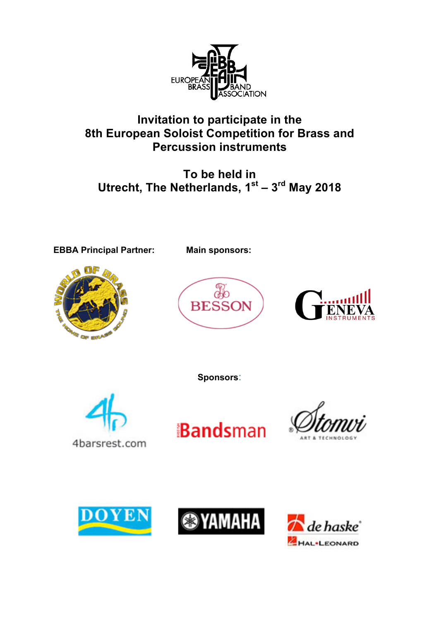

# **Invitation to participate in the 8th European Soloist Competition for Brass and Percussion instruments**

**To be held in Utrecht, The Netherlands, 1st – 3rd May 2018**

**EBBA Principal Partner: Main sponsors:**







**Sponsors**:











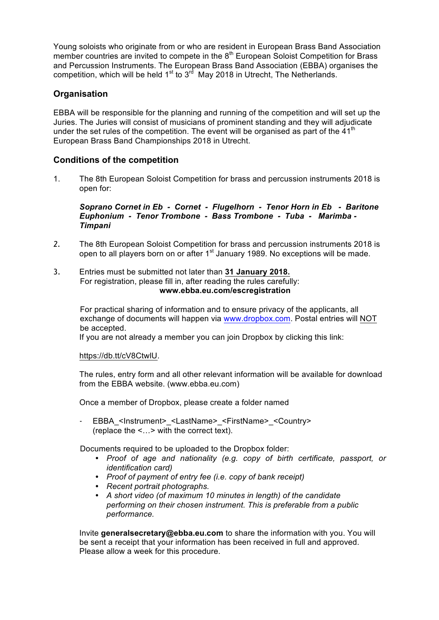Young soloists who originate from or who are resident in European Brass Band Association member countries are invited to compete in the 8<sup>th</sup> European Soloist Competition for Brass and Percussion Instruments. The European Brass Band Association (EBBA) organises the competition, which will be held  $1<sup>st</sup>$  to  $3<sup>rd</sup>$  May 2018 in Utrecht, The Netherlands.

# **Organisation**

EBBA will be responsible for the planning and running of the competition and will set up the Juries. The Juries will consist of musicians of prominent standing and they will adjudicate under the set rules of the competition. The event will be organised as part of the  $41<sup>th</sup>$ European Brass Band Championships 2018 in Utrecht.

# **Conditions of the competition**

1. The 8th European Soloist Competition for brass and percussion instruments 2018 is open for:

*Soprano Cornet in Eb - Cornet - Flugelhorn - Tenor Horn in Eb - Baritone Euphonium - Tenor Trombone - Bass Trombone - Tuba - Marimba - Timpani*

- *2.* The 8th European Soloist Competition for brass and percussion instruments 2018 is open to all players born on or after  $1<sup>st</sup>$  January 1989. No exceptions will be made.
- 3. Entries must be submitted not later than **31 January 2018.** For registration, please fill in, after reading the rules carefully: **www.ebba.eu.com/escregistration**

For practical sharing of information and to ensure privacy of the applicants, all exchange of documents will happen via www.dropbox.com. Postal entries will NOT be accepted.

If you are not already a member you can join Dropbox by clicking this link:

https://db.tt/cV8CtwlU.

The rules, entry form and all other relevant information will be available for download from the EBBA website. (www.ebba.eu.com)

Once a member of Dropbox, please create a folder named

EBBA <Instrument> <LastName> <FirstName> <Country> (replace the <…> with the correct text).

Documents required to be uploaded to the Dropbox folder:

- *• Proof of age and nationality (e.g. copy of birth certificate, passport, or identification card)*
- *• Proof of payment of entry fee (i.e. copy of bank receipt)*
- *• Recent portrait photographs.*
- *• A short video (of maximum 10 minutes in length) of the candidate performing on their chosen instrument. This is preferable from a public performance.*

Invite **generalsecretary@ebba.eu.com** to share the information with you. You will be sent a receipt that your information has been received in full and approved. Please allow a week for this procedure.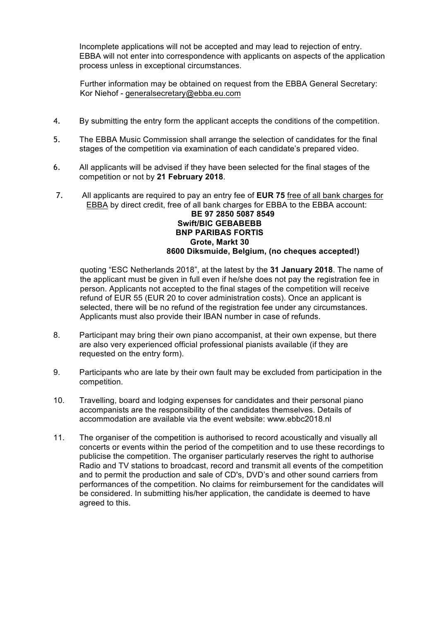Incomplete applications will not be accepted and may lead to rejection of entry. EBBA will not enter into correspondence with applicants on aspects of the application process unless in exceptional circumstances.

Further information may be obtained on request from the EBBA General Secretary: Kor Niehof - generalsecretary@ebba.eu.com

- 4. By submitting the entry form the applicant accepts the conditions of the competition.
- 5. The EBBA Music Commission shall arrange the selection of candidates for the final stages of the competition via examination of each candidate's prepared video.
- 6. All applicants will be advised if they have been selected for the final stages of the competition or not by **21 February 2018**.
- 7. All applicants are required to pay an entry fee of **EUR 75** free of all bank charges for EBBA by direct credit, free of all bank charges for EBBA to the EBBA account:

#### **BE 97 2850 5087 8549 Swift/BIC GEBABEBB BNP PARIBAS FORTIS Grote, Markt 30 8600 Diksmuide, Belgium, (no cheques accepted!)**

quoting "ESC Netherlands 2018", at the latest by the **31 January 2018**. The name of the applicant must be given in full even if he/she does not pay the registration fee in person. Applicants not accepted to the final stages of the competition will receive refund of EUR 55 (EUR 20 to cover administration costs). Once an applicant is selected, there will be no refund of the registration fee under any circumstances. Applicants must also provide their IBAN number in case of refunds.

- 8. Participant may bring their own piano accompanist, at their own expense, but there are also very experienced official professional pianists available (if they are requested on the entry form).
- 9. Participants who are late by their own fault may be excluded from participation in the competition.
- 10. Travelling, board and lodging expenses for candidates and their personal piano accompanists are the responsibility of the candidates themselves. Details of accommodation are available via the event website: www.ebbc2018.nl
- 11. The organiser of the competition is authorised to record acoustically and visually all concerts or events within the period of the competition and to use these recordings to publicise the competition. The organiser particularly reserves the right to authorise Radio and TV stations to broadcast, record and transmit all events of the competition and to permit the production and sale of CD's, DVD's and other sound carriers from performances of the competition. No claims for reimbursement for the candidates will be considered. In submitting his/her application, the candidate is deemed to have agreed to this.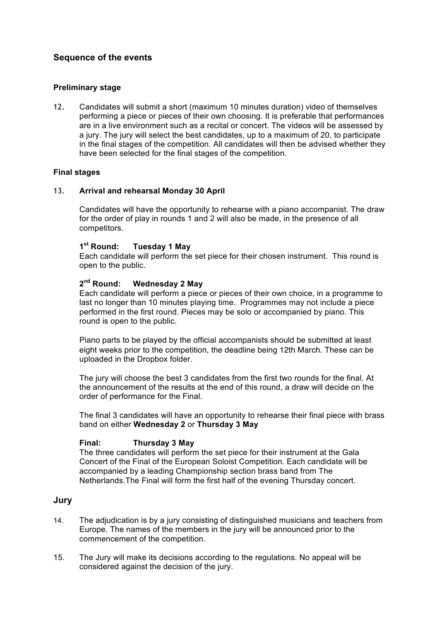## **Sequence of the events**

## **Preliminary stage**

12. Candidates will submit a short (maximum 10 minutes duration) video of themselves performing a piece or pieces of their own choosing. It is preferable that performances are in a live environment such as a recital or concert. The videos will be assessed by a jury. The jury will select the best candidates, up to a maximum of 20, to participate in the final stages of the competition. All candidates will then be advised whether they have been selected for the final stages of the competition.

#### **Final stages**

#### 13. **Arrival and rehearsal Monday 30 April**

Candidates will have the opportunity to rehearse with a piano accompanist. The draw for the order of play in rounds 1 and 2 will also be made, in the presence of all competitors.

#### **1st Round: Tuesday 1 May**

Each candidate will perform the set piece for their chosen instrument. This round is open to the public.

#### **2nd Round: Wednesday 2 May**

Each candidate will perform a piece or pieces of their own choice, in a programme to last no longer than 10 minutes playing time. Programmes may not include a piece performed in the first round. Pieces may be solo or accompanied by piano. This round is open to the public.

Piano parts to be played by the official accompanists should be submitted at least eight weeks prior to the competition, the deadline being 12th March. These can be uploaded in the Dropbox folder.

The jury will choose the best 3 candidates from the first two rounds for the final. At the announcement of the results at the end of this round, a draw will decide on the order of performance for the Final.

The final 3 candidates will have an opportunity to rehearse their final piece with brass band on either **Wednesday 2** or **Thursday 3 May**

#### **Final: Thursday 3 May**

The three candidates will perform the set piece for their instrument at the Gala Concert of the Final of the European Soloist Competition. Each candidate will be accompanied by a leading Championship section brass band from The Netherlands.The Final will form the first half of the evening Thursday concert.

## **Jury**

- 14. The adjudication is by a jury consisting of distinguished musicians and teachers from Europe. The names of the members in the jury will be announced prior to the commencement of the competition.
- 15. The Jury will make its decisions according to the regulations. No appeal will be considered against the decision of the jury.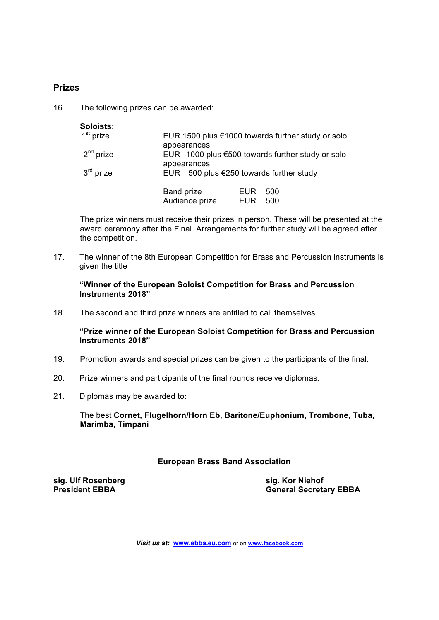## **Prizes**

16. The following prizes can be awarded:

| Soloists:   |                                                   |            |                                                     |
|-------------|---------------------------------------------------|------------|-----------------------------------------------------|
| $1st$ prize | appearances                                       |            | EUR 1500 plus $€1000$ towards further study or solo |
| $2nd$ prize | appearances                                       |            | EUR 1000 plus $€500$ towards further study or solo  |
| $3rd$ prize | EUR 500 plus $\epsilon$ 250 towards further study |            |                                                     |
|             | <b>Band prize</b>                                 | <b>EUR</b> | 500                                                 |
|             | Audience prize                                    | <b>EUR</b> | 500                                                 |

The prize winners must receive their prizes in person. These will be presented at the award ceremony after the Final. Arrangements for further study will be agreed after the competition.

17. The winner of the 8th European Competition for Brass and Percussion instruments is given the title

**"Winner of the European Soloist Competition for Brass and Percussion Instruments 2018"**

18. The second and third prize winners are entitled to call themselves

**"Prize winner of the European Soloist Competition for Brass and Percussion Instruments 2018"**

- 19. Promotion awards and special prizes can be given to the participants of the final.
- 20. Prize winners and participants of the final rounds receive diplomas.
- 21. Diplomas may be awarded to:

The best **Cornet, Flugelhorn/Horn Eb, Baritone/Euphonium, Trombone, Tuba, Marimba, Timpani**

#### **European Brass Band Association**

**sig. Ulf Rosenberg sig. Kor Niehof**

**President EBBA General Secretary EBBA**

*Visit us at:* **www.ebba.eu.com** or on **www.facebook.com**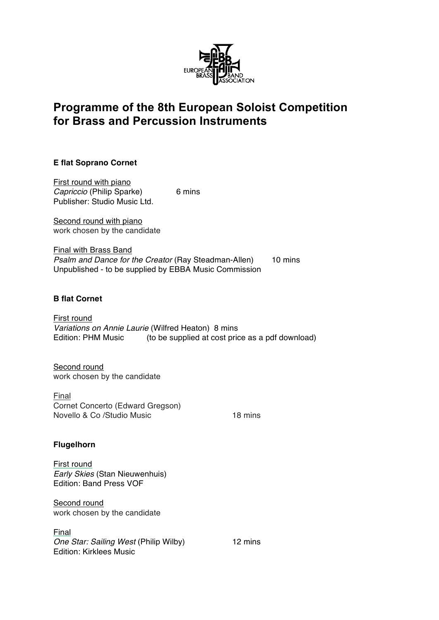

# **Programme of the 8th European Soloist Competition for Brass and Percussion Instruments**

## **E flat Soprano Cornet**

First round with piano *Capriccio* (Philip Sparke) 6 mins Publisher: Studio Music Ltd.

Second round with piano work chosen by the candidate

Final with Brass Band *Psalm and Dance for the Creator* (Ray Steadman-Allen) 10 mins Unpublished - to be supplied by EBBA Music Commission

## **B flat Cornet**

First round *Variations on Annie Laurie* (Wilfred Heaton) 8 mins Edition: PHM Music (to be supplied at cost price as a pdf download)

Second round work chosen by the candidate

Final Cornet Concerto (Edward Gregson) Novello & Co /Studio Music 18 mins

## **Flugelhorn**

First round *Early Skies* (Stan Nieuwenhuis) Edition: Band Press VOF

Second round work chosen by the candidate

## Final

*One Star: Sailing West* (Philip Wilby) 12 mins Edition: Kirklees Music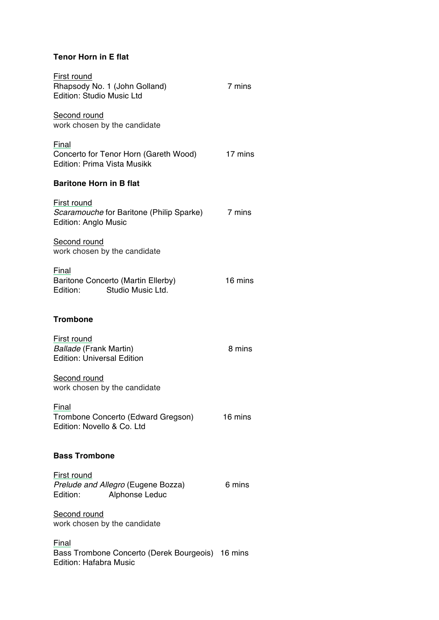## **Tenor Horn in E flat**

| First round<br>Rhapsody No. 1 (John Golland)<br>Edition: Studio Music Ltd                  | 7 mins  |
|--------------------------------------------------------------------------------------------|---------|
| Second round<br>work chosen by the candidate                                               |         |
| Final<br>Concerto for Tenor Horn (Gareth Wood)<br>Edition: Prima Vista Musikk              | 17 mins |
| <b>Baritone Horn in B flat</b>                                                             |         |
| First round<br>Scaramouche for Baritone (Philip Sparke)<br><b>Edition: Anglo Music</b>     | 7 mins  |
| Second round<br>work chosen by the candidate                                               |         |
| Final<br>Baritone Concerto (Martin Ellerby)<br>Studio Music Ltd.<br>Edition:               | 16 mins |
| <b>Trombone</b>                                                                            |         |
| First round<br>Ballade (Frank Martin)<br><b>Edition: Universal Edition</b>                 | 8 mins  |
| Second round<br>work chosen by the candidate                                               |         |
| Final<br>Trombone Concerto (Edward Gregson)<br>Edition: Novello & Co. Ltd                  | 16 mins |
| <b>Bass Trombone</b>                                                                       |         |
| First round<br>Prelude and Allegro (Eugene Bozza)<br>Edition:<br>Alphonse Leduc            | 6 mins  |
| Second round<br>work chosen by the candidate                                               |         |
| Final<br>Bass Trombone Concerto (Derek Bourgeois) 16 mins<br><b>Edition: Hafabra Music</b> |         |